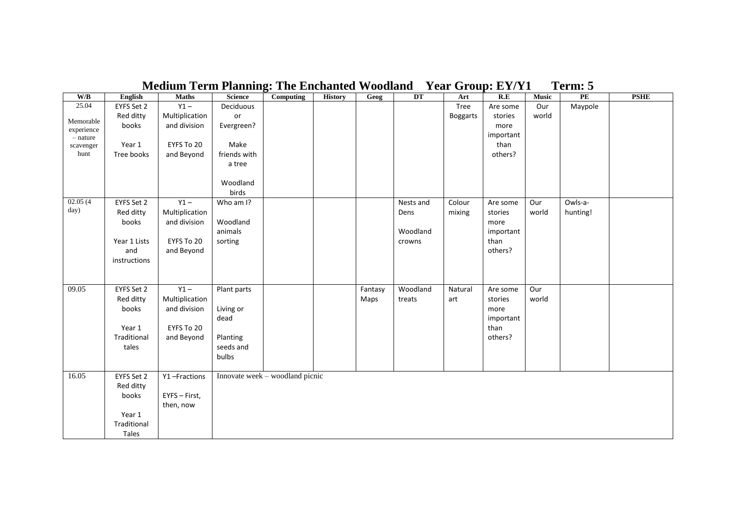| W/B                     | English      | <b>Maths</b>   | <b>Science</b> | Computing                       | <b>History</b> | Geog    | DT        | Art             | R.E       | <b>Music</b> | PE       | <b>PSHE</b> |
|-------------------------|--------------|----------------|----------------|---------------------------------|----------------|---------|-----------|-----------------|-----------|--------------|----------|-------------|
| 25.04                   | EYFS Set 2   | $Y1 -$         | Deciduous      |                                 |                |         |           | Tree            | Are some  | Our          | Maypole  |             |
|                         | Red ditty    | Multiplication | or             |                                 |                |         |           | <b>Boggarts</b> | stories   | world        |          |             |
| Memorable<br>experience | books        | and division   | Evergreen?     |                                 |                |         |           |                 | more      |              |          |             |
| $-$ nature              |              |                |                |                                 |                |         |           |                 | important |              |          |             |
| scavenger               | Year 1       | EYFS To 20     | Make           |                                 |                |         |           |                 | than      |              |          |             |
| hunt                    | Tree books   | and Beyond     | friends with   |                                 |                |         |           |                 | others?   |              |          |             |
|                         |              |                | a tree         |                                 |                |         |           |                 |           |              |          |             |
|                         |              |                |                |                                 |                |         |           |                 |           |              |          |             |
|                         |              |                | Woodland       |                                 |                |         |           |                 |           |              |          |             |
|                         |              |                | birds          |                                 |                |         |           |                 |           |              |          |             |
| 02.05(4)                | EYFS Set 2   | $Y1 -$         | Who am I?      |                                 |                |         | Nests and | Colour          | Are some  | Our          | Owls-a-  |             |
| day)                    | Red ditty    | Multiplication |                |                                 |                |         | Dens      | mixing          | stories   | world        | hunting! |             |
|                         | books        | and division   | Woodland       |                                 |                |         |           |                 | more      |              |          |             |
|                         |              |                | animals        |                                 |                |         | Woodland  |                 | important |              |          |             |
|                         | Year 1 Lists | EYFS To 20     | sorting        |                                 |                |         | crowns    |                 | than      |              |          |             |
|                         | and          | and Beyond     |                |                                 |                |         |           |                 | others?   |              |          |             |
|                         | instructions |                |                |                                 |                |         |           |                 |           |              |          |             |
|                         |              |                |                |                                 |                |         |           |                 |           |              |          |             |
|                         |              |                |                |                                 |                |         |           |                 |           |              |          |             |
| 09.05                   | EYFS Set 2   | $Y1 -$         | Plant parts    |                                 |                | Fantasy | Woodland  | Natural         | Are some  | Our          |          |             |
|                         | Red ditty    | Multiplication |                |                                 |                | Maps    | treats    | art             | stories   | world        |          |             |
|                         | books        | and division   | Living or      |                                 |                |         |           |                 | more      |              |          |             |
|                         |              |                | dead           |                                 |                |         |           |                 | important |              |          |             |
|                         | Year 1       | EYFS To 20     |                |                                 |                |         |           |                 | than      |              |          |             |
|                         | Traditional  | and Beyond     | Planting       |                                 |                |         |           |                 | others?   |              |          |             |
|                         | tales        |                | seeds and      |                                 |                |         |           |                 |           |              |          |             |
|                         |              |                | bulbs          |                                 |                |         |           |                 |           |              |          |             |
|                         |              |                |                |                                 |                |         |           |                 |           |              |          |             |
| 16.05                   | EYFS Set 2   | Y1-Fractions   |                | Innovate week - woodland picnic |                |         |           |                 |           |              |          |             |
|                         | Red ditty    |                |                |                                 |                |         |           |                 |           |              |          |             |
|                         | books        | EYFS - First,  |                |                                 |                |         |           |                 |           |              |          |             |
|                         |              | then, now      |                |                                 |                |         |           |                 |           |              |          |             |
|                         | Year 1       |                |                |                                 |                |         |           |                 |           |              |          |             |
|                         | Traditional  |                |                |                                 |                |         |           |                 |           |              |          |             |
|                         | Tales        |                |                |                                 |                |         |           |                 |           |              |          |             |

## **Medium Term Planning: The Enchanted Woodland Year Group: EY/Y1 Term: 5**